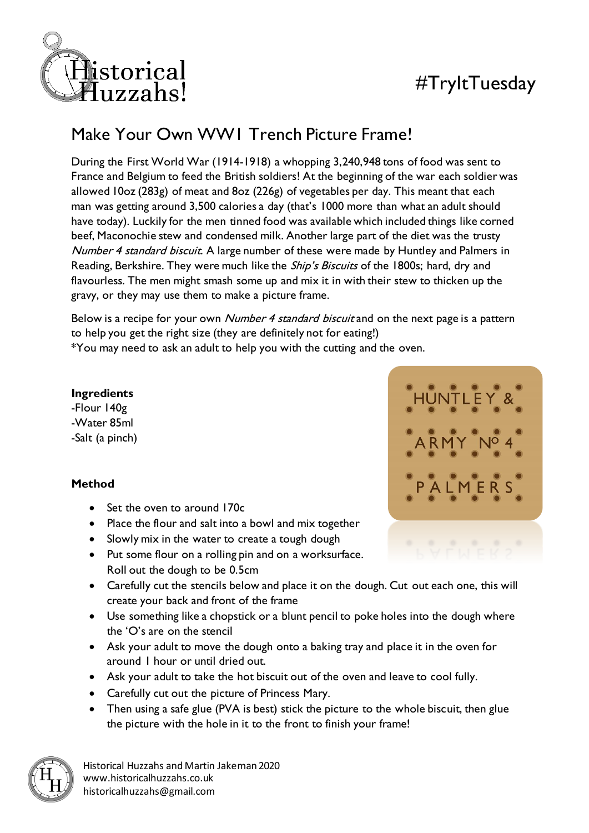

# #TryItTuesday

## Make Your Own WW1 Trench Picture Frame!

During the First World War (1914-1918) a whopping 3,240,948 tons of food was sent to France and Belgium to feed the British soldiers! At the beginning of the war each soldier was allowed 10oz (283g) of meat and 8oz (226g) of vegetables per day. This meant that each man was getting around 3,500 calories a day (that's 1000 more than what an adult should have today). Luckily for the men tinned food was available which included things like corned beef, Maconochie stew and condensed milk. Another large part of the diet was the trusty Number 4 standard biscuit. A large number of these were made by Huntley and Palmers in Reading, Berkshire. They were much like the *Ship's Biscuits* of the 1800s; hard, dry and flavourless. The men might smash some up and mix it in with their stew to thicken up the gravy, or they may use them to make a picture frame.

Below is a recipe for your own Number 4 standard biscuit and on the next page is a pattern to help you get the right size (they are definitely not for eating!) \*You may need to ask an adult to help you with the cutting and the oven.

### **Ingredients**

-Flour 140g -Water 85ml -Salt (a pinch)

### **Method**

- Set the oven to around 170c
- Place the flour and salt into a bowl and mix together
- Slowly mix in the water to create a tough dough
- Put some flour on a rolling pin and on a worksurface. Roll out the dough to be 0.5cm
- Carefully cut the stencils below and place it on the dough. Cut out each one, this will create your back and front of the frame
- Use something like a chopstick or a blunt pencil to poke holes into the dough where the 'O's are on the stencil
- Ask your adult to move the dough onto a baking tray and place it in the oven for around 1 hour or until dried out.
- Ask your adult to take the hot biscuit out of the oven and leave to cool fully.
- Carefully cut out the picture of Princess Mary.
- Then using a safe glue (PVA is best) stick the picture to the whole biscuit, then glue the picture with the hole in it to the front to finish your frame!



Historical Huzzahs and Martin Jakeman 2020 www.historicalhuzzahs.co.uk historicalhuzzahs@gmail.com